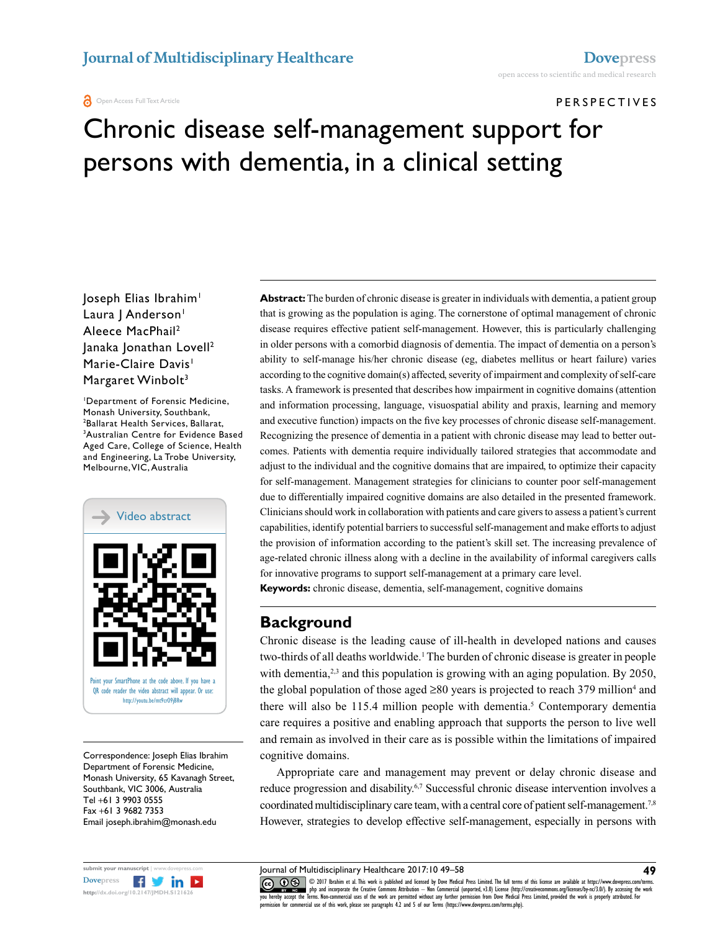#### **a** Open Access Full Text Article

# PERSPECTIVES

# Chronic disease self-management support for persons with dementia, in a clinical setting

Joseph Elias Ibrahim<sup>1</sup> Laura | Anderson<sup>1</sup> Aleece MacPhail2 Janaka Jonathan Lovell2 Marie-Claire Davis<sup>1</sup> Margaret Winbolt<sup>3</sup>

1 Department of Forensic Medicine, Monash University, Southbank, 2 Ballarat Health Services, Ballarat, 3 Australian Centre for Evidence Based Aged Care, College of Science, Health and Engineering, La Trobe University, Melbourne, VIC, Australia



Correspondence: Joseph Elias Ibrahim Department of Forensic Medicine, Monash University, 65 Kavanagh Street, Southbank, VIC 3006, Australia Tel +61 3 9903 0555 Fax +61 3 9682 7353 Email joseph.ibrahim@monash.edu



**Abstract:** The burden of chronic disease is greater in individuals with dementia, a patient group that is growing as the population is aging. The cornerstone of optimal management of chronic disease requires effective patient self-management. However, this is particularly challenging in older persons with a comorbid diagnosis of dementia. The impact of dementia on a person's ability to self-manage his/her chronic disease (eg, diabetes mellitus or heart failure) varies according to the cognitive domain(s) affected, severity of impairment and complexity of self-care tasks. A framework is presented that describes how impairment in cognitive domains (attention and information processing, language, visuospatial ability and praxis, learning and memory and executive function) impacts on the five key processes of chronic disease self-management. Recognizing the presence of dementia in a patient with chronic disease may lead to better outcomes. Patients with dementia require individually tailored strategies that accommodate and adjust to the individual and the cognitive domains that are impaired, to optimize their capacity for self-management. Management strategies for clinicians to counter poor self-management due to differentially impaired cognitive domains are also detailed in the presented framework. Clinicians should work in collaboration with patients and care givers to assess a patient's current capabilities, identify potential barriers to successful self-management and make efforts to adjust the provision of information according to the patient's skill set. The increasing prevalence of age-related chronic illness along with a decline in the availability of informal caregivers calls for innovative programs to support self-management at a primary care level.

#### **Keywords:** chronic disease, dementia, self-management, cognitive domains

#### **Background**

Chronic disease is the leading cause of ill-health in developed nations and causes two-thirds of all deaths worldwide.<sup>1</sup> The burden of chronic disease is greater in people with dementia,<sup>2,3</sup> and this population is growing with an aging population. By 2050, the global population of those aged  $\geq 80$  years is projected to reach 379 million<sup>4</sup> and there will also be 115.4 million people with dementia.<sup>5</sup> Contemporary dementia care requires a positive and enabling approach that supports the person to live well and remain as involved in their care as is possible within the limitations of impaired cognitive domains.

Appropriate care and management may prevent or delay chronic disease and reduce progression and disability.<sup>6,7</sup> Successful chronic disease intervention involves a coordinated multidisciplinary care team, with a central core of patient self-management.<sup>7,8</sup> However, strategies to develop effective self-management, especially in persons with

 $\overline{\textbf{cc}}$   $\bullet$   $\circ$  2017 Ibrahim et al. This work is published and licensed by Dove Medical Press Limited. The full terms of this license are available at https://www.dovepress.com/terms. www.com php and incorporate the Creative Commons Attribution — Non Commercial (unported, v3.0) License (http://creativecommons.org/licenses/by-nc/3.0/). By accessing the work<br>you hereby accept the Terms. Non-commercial use permission for commercial use of this work, please see paragraphs 4.2 and 5 of our Terms (https://www.dovepress.com/terms.php).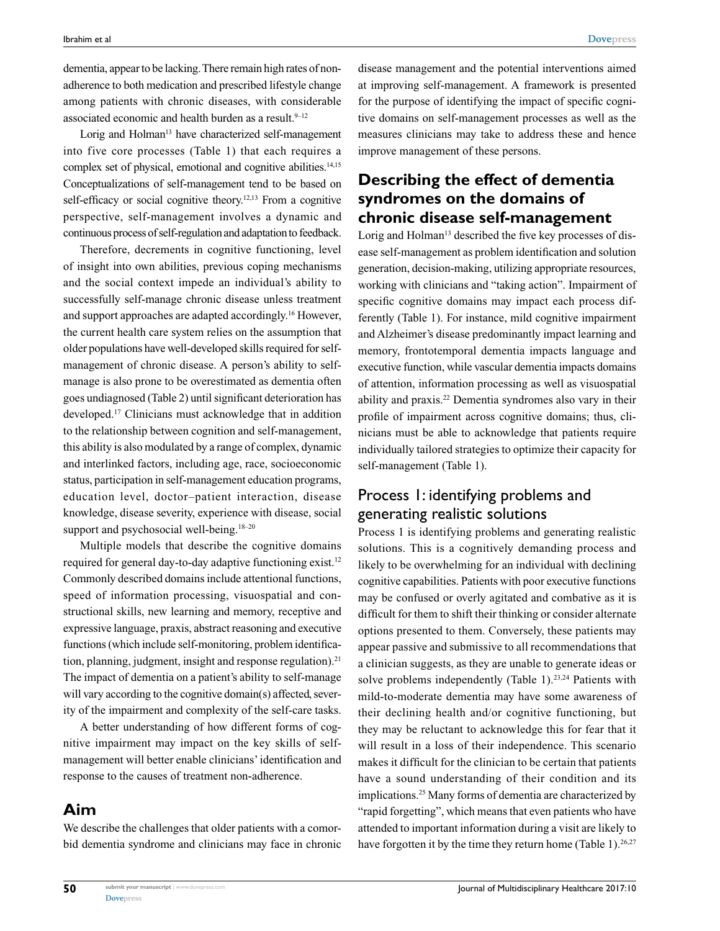dementia, appear to be lacking. There remain high rates of nonadherence to both medication and prescribed lifestyle change among patients with chronic diseases, with considerable associated economic and health burden as a result. $9-12$ 

Lorig and Holman<sup>13</sup> have characterized self-management into five core processes (Table 1) that each requires a complex set of physical, emotional and cognitive abilities.<sup>14,15</sup> Conceptualizations of self-management tend to be based on self-efficacy or social cognitive theory.<sup>12,13</sup> From a cognitive perspective, self-management involves a dynamic and continuous process of self-regulation and adaptation to feedback.

Therefore, decrements in cognitive functioning, level of insight into own abilities, previous coping mechanisms and the social context impede an individual's ability to successfully self-manage chronic disease unless treatment and support approaches are adapted accordingly.16 However, the current health care system relies on the assumption that older populations have well-developed skills required for selfmanagement of chronic disease. A person's ability to selfmanage is also prone to be overestimated as dementia often goes undiagnosed (Table 2) until significant deterioration has developed.17 Clinicians must acknowledge that in addition to the relationship between cognition and self-management, this ability is also modulated by a range of complex, dynamic and interlinked factors, including age, race, socioeconomic status, participation in self-management education programs, education level, doctor–patient interaction, disease knowledge, disease severity, experience with disease, social support and psychosocial well-being.<sup>18-20</sup>

Multiple models that describe the cognitive domains required for general day-to-day adaptive functioning exist.<sup>12</sup> Commonly described domains include attentional functions, speed of information processing, visuospatial and constructional skills, new learning and memory, receptive and expressive language, praxis, abstract reasoning and executive functions (which include self-monitoring, problem identification, planning, judgment, insight and response regulation).<sup>21</sup> The impact of dementia on a patient's ability to self-manage will vary according to the cognitive domain(s) affected, severity of the impairment and complexity of the self-care tasks.

A better understanding of how different forms of cognitive impairment may impact on the key skills of selfmanagement will better enable clinicians' identification and response to the causes of treatment non-adherence.

#### **Aim**

**50**

We describe the challenges that older patients with a comorbid dementia syndrome and clinicians may face in chronic disease management and the potential interventions aimed at improving self-management. A framework is presented for the purpose of identifying the impact of specific cognitive domains on self-management processes as well as the measures clinicians may take to address these and hence improve management of these persons.

## **Describing the effect of dementia syndromes on the domains of chronic disease self-management**

Lorig and Holman<sup>13</sup> described the five key processes of disease self-management as problem identification and solution generation, decision-making, utilizing appropriate resources, working with clinicians and "taking action". Impairment of specific cognitive domains may impact each process differently (Table 1). For instance, mild cognitive impairment and Alzheimer's disease predominantly impact learning and memory, frontotemporal dementia impacts language and executive function, while vascular dementia impacts domains of attention, information processing as well as visuospatial ability and praxis.22 Dementia syndromes also vary in their profile of impairment across cognitive domains; thus, clinicians must be able to acknowledge that patients require individually tailored strategies to optimize their capacity for self-management (Table 1).

## Process 1: identifying problems and generating realistic solutions

Process 1 is identifying problems and generating realistic solutions. This is a cognitively demanding process and likely to be overwhelming for an individual with declining cognitive capabilities. Patients with poor executive functions may be confused or overly agitated and combative as it is difficult for them to shift their thinking or consider alternate options presented to them. Conversely, these patients may appear passive and submissive to all recommendations that a clinician suggests, as they are unable to generate ideas or solve problems independently (Table 1).<sup>23,24</sup> Patients with mild-to-moderate dementia may have some awareness of their declining health and/or cognitive functioning, but they may be reluctant to acknowledge this for fear that it will result in a loss of their independence. This scenario makes it difficult for the clinician to be certain that patients have a sound understanding of their condition and its implications.25 Many forms of dementia are characterized by "rapid forgetting", which means that even patients who have attended to important information during a visit are likely to have forgotten it by the time they return home (Table 1).<sup>26,27</sup>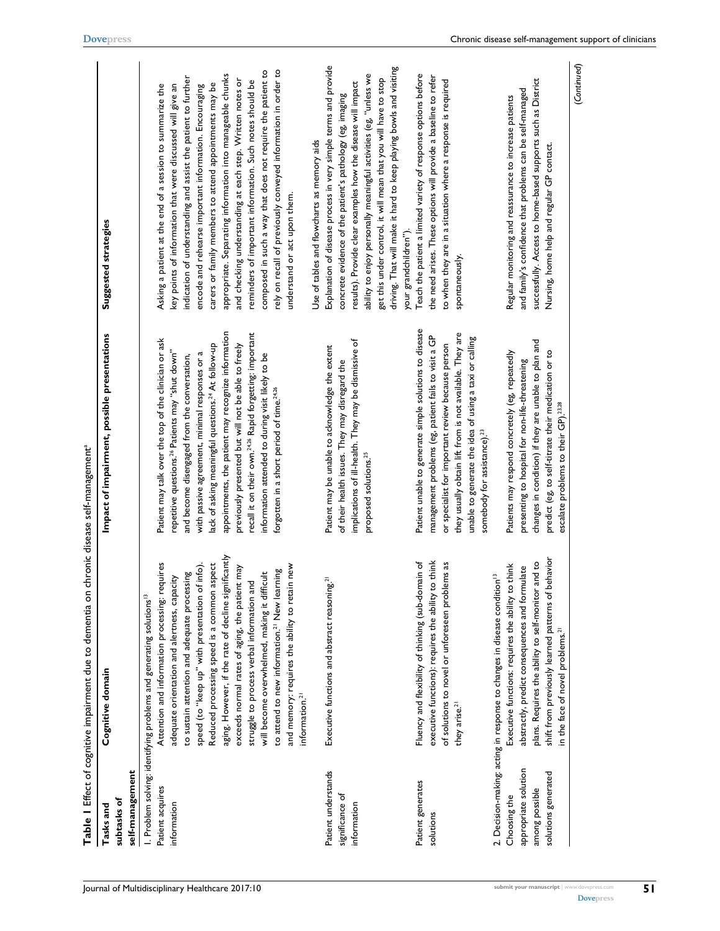| Tasks and            | Cognitive domain                                                                     | Impact of impairment, possible presentations                         | Suggested strategies                                               |
|----------------------|--------------------------------------------------------------------------------------|----------------------------------------------------------------------|--------------------------------------------------------------------|
| subtasks of          |                                                                                      |                                                                      |                                                                    |
| self-management      |                                                                                      |                                                                      |                                                                    |
|                      | . Problem solving: identifying problems and generating solutions <sup>13</sup>       |                                                                      |                                                                    |
| Patient acquires     | Attention and information processing: requires                                       | Patient may talk over the top of the clinician or ask                | Asking a patient at the end of a session to summarize the          |
| information          | adequate orientation and alertness, capacity                                         | repetitive questions. <sup>26</sup> Patients may "shut down"         | key points of information that were discussed will give an         |
|                      | to sustain attention and adequate processing                                         | and become disengaged from the conversation,                         | indication of understanding and assist the patient to further      |
|                      | speed (to "keep up" with presentation of info).                                      | with passive agreement, minimal responses or a                       | encode and rehearse important information. Encouraging             |
|                      | Reduced processing speed is a common aspect                                          | ack of asking meaningful questions. <sup>24</sup> At follow-up       | carers or family members to attend appointments may be             |
|                      | aging. However, if the rate of decline significantly                                 | appointments, the patient may recognize information                  | appropriate. Separating information into manageable chunks         |
|                      | exceeds normal rates of aging, the patient may                                       | previously presented but will not be able to freely                  | and checking understanding at each step. Written notes or          |
|                      | struggle to process verbal information and                                           | recall it on their own. <sup>24,26</sup> Rapid forgetting: important | reminders of important information. Such notes should be           |
|                      | will become overwhelmed, making it difficult                                         | information attended to during visit likely to be                    | composed in such a way that does not require the patient to        |
|                      | to attend to new information. <sup>21</sup> New learning                             | forgotten in a short period of time. <sup>24,26</sup>                | rely on recall of previously conveyed information in order to      |
|                      | in new<br>and memory: requires the ability to retai                                  |                                                                      | understand or act upon them.                                       |
|                      | information. <sup>21</sup>                                                           |                                                                      |                                                                    |
|                      |                                                                                      |                                                                      | Use of tables and flowcharts as memory aids                        |
| Patient understands  | $18^{21}$<br>Executive functions and abstract reasonin                               | Patient may be unable to acknowledge the extent                      | Explanation of disease process in very simple terms and provide    |
| significance of      |                                                                                      | of their health issues. They may disregard the                       | concrete evidence of the patient's pathology (eg, imaging          |
| information          |                                                                                      | implications of ill-health. They may be dismissive of                | results). Provide clear examples how the disease will impact       |
|                      |                                                                                      | proposed solutions. <sup>25</sup>                                    | ability to enjoy personally meaningful activities (eg, "unless we  |
|                      |                                                                                      |                                                                      | get this under control, it will mean that you will have to stop    |
|                      |                                                                                      |                                                                      | driving. That will make it hard to keep playing bowls and visiting |
|                      |                                                                                      |                                                                      | your grandchildren").                                              |
| Patient generates    | Fluency and flexibility of thinking (sub-domain of                                   | Patient unable to generate simple solutions to disease               | Teach the patient a limited variety of response options before     |
| solutions            | executive functions): requires the ability to think                                  | management problems (eg, patient fails to visit a GP                 | the need arises. These options will provide a baseline to refer    |
|                      | of solutions to novel or unforeseen problems as                                      | or specialist for important review because person                    | to when they are in a situation where a response is required       |
|                      | they arise. <sup>21</sup>                                                            | they usually obtain lift from is not available. They are             | spontaneously.                                                     |
|                      |                                                                                      | unable to generate the idea of using a taxi or calling               |                                                                    |
|                      |                                                                                      | somebody for assistance). <sup>23</sup>                              |                                                                    |
|                      | 2. Decision-making: acting in response to changes in disease condition <sup>13</sup> |                                                                      |                                                                    |
| Choosing the         | Executive functions: requires the ability to think                                   | Patients may respond concretely (eg, repeatedly                      | Regular monitoring and reassurance to increase patients            |
| appropriate solution | abstractly, predict consequences and formulate                                       | presenting to hospital for non-life-threatening                      | and family's confidence that problems can be self-managed          |
| among possible       | plans. Requires the ability to self-monitor and to                                   | changes in condition) if they are unable to plan and                 | successfully. Access to home-based supports such as District       |
| solutions generated  | behavior<br>shift from previously learned patterns of                                | predict (eg, to self-titrate their medication or to                  | Nursing, home help and regular GP contact.                         |
|                      | in the face of novel problems. <sup>21</sup>                                         | escalate problems to their GP). <sup>23,28</sup>                     |                                                                    |

Table 1 Effect of cognitive impairment due to dementia on chronic disease self-management<sup>a</sup> **Table 1** Effect of cognitive impairment due to dementia on chronic disease self-managementa

**Dovepress** 

(*Continued*)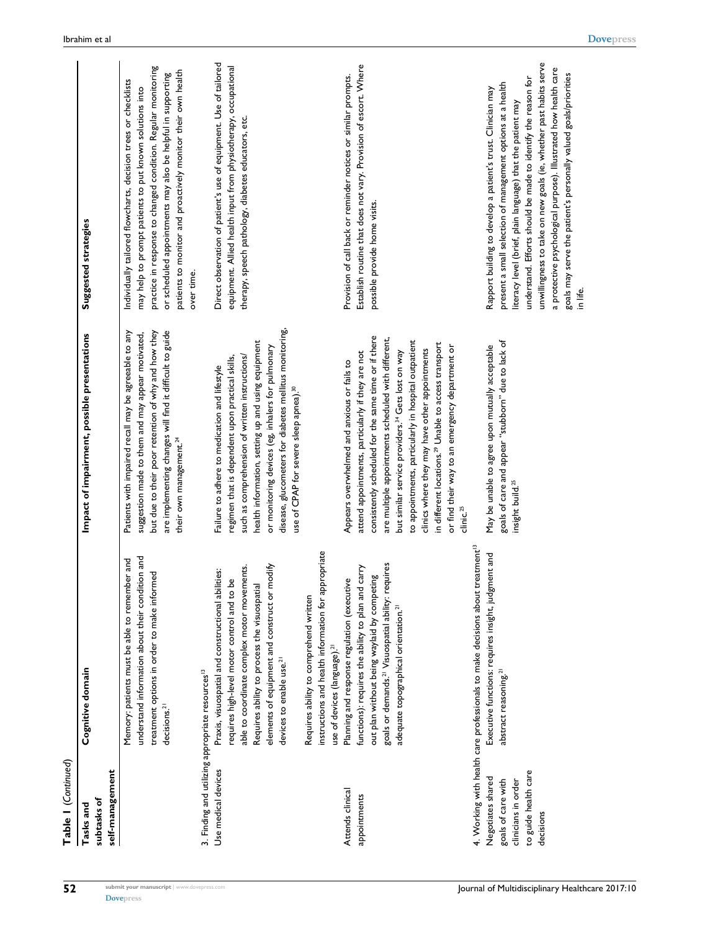| ${\sf Table~1}$ (Continued)                                                                         |                                                                                                                                                                                                                                                                                                                                                                                                                          |                                                                                                                                                                                                                                                                                                                                                                                                                                                                                                                   |                                                                                                                                                                                                                                                                                                                                                                                                                                                                                         |
|-----------------------------------------------------------------------------------------------------|--------------------------------------------------------------------------------------------------------------------------------------------------------------------------------------------------------------------------------------------------------------------------------------------------------------------------------------------------------------------------------------------------------------------------|-------------------------------------------------------------------------------------------------------------------------------------------------------------------------------------------------------------------------------------------------------------------------------------------------------------------------------------------------------------------------------------------------------------------------------------------------------------------------------------------------------------------|-----------------------------------------------------------------------------------------------------------------------------------------------------------------------------------------------------------------------------------------------------------------------------------------------------------------------------------------------------------------------------------------------------------------------------------------------------------------------------------------|
| self-management<br>subtasks of<br>Tasks and                                                         | Cognitive domain                                                                                                                                                                                                                                                                                                                                                                                                         | Impact of impairment, possible presentations                                                                                                                                                                                                                                                                                                                                                                                                                                                                      | Suggested strategies                                                                                                                                                                                                                                                                                                                                                                                                                                                                    |
|                                                                                                     | understand information about their condition and<br>Memory: patients must be able to remember and<br>treatment options in order to make informed<br>decisions. <sup>21</sup>                                                                                                                                                                                                                                             | but due to their poor retention of why and how they<br>are implementing changes will find it difficult to guide<br>Patients with impaired recall may be agreeable to any<br>suggestion made to them and may appear motivated,<br>their own management. <sup>24</sup>                                                                                                                                                                                                                                              | practice in response to changed condition. Regular monitoring<br>patients to monitor and proactively monitor their own health<br>or scheduled appointments may also be helpful in supporting<br>Individually tailored flowcharts, decision trees or checklists<br>may help to prompt patients to put known solutions into<br>over time.                                                                                                                                                 |
| 3. Finding and utilizing appropriate resources <sup>13</sup><br>Use medical devices                 | elements of equipment and construct or modify<br>able to coordinate complex motor movements.<br>έś<br>Praxis, visuospatial and constructional abiliti<br>requires high-level motor control and to be<br>Requires ability to process the visuospatial<br>devices to enable use. <sup>21</sup>                                                                                                                             | disease, glucometers for diabetes mellitus monitoring,<br>health information, setting up and using equipment<br>or monitoring devices (eg, inhalers for pulmonary<br>such as comprehension of written instructions/<br>regimen that is dependent upon practical skills,<br>Failure to adhere to medication and lifestyle<br>use of CPAP for severe sleep apnea). <sup>30</sup>                                                                                                                                    | Direct observation of patient's use of equipment. Use of tailored<br>equipment. Allied health input from physiotherapy, occupational<br>therapy, speech pathology, diabetes educators, etc.                                                                                                                                                                                                                                                                                             |
| Attends clinical<br>appointments                                                                    | opriate<br>out plan without being waylaid by competing<br>goals or demands. <sup>21</sup> Visuospatial ability: requires<br>functions): requires the ability to plan and carry<br>instructions and health information for appr<br>Planning and response regulation (executive<br>Requires ability to comprehend written<br>adequate topographical orientation. <sup>21</sup><br>use of devices (language). <sup>21</sup> | consistently scheduled for the same time or if there<br>are multiple appointments scheduled with different,<br>to appointments, particularly in hospital outpatient<br>in different locations. <sup>29</sup> Unable to access transport<br>or find their way to an emergency department or<br>clinics where they may have other appointments<br>but similar service providers. <sup>34</sup> Gets lost on way<br>attend appointments, particularly if they are not<br>Appears overwhelmed and anxious or fails to | Establish routine that does not vary. Provision of escort. Where<br>Provision of call back or reminder notices or similar prompts.<br>possible provide home visits.                                                                                                                                                                                                                                                                                                                     |
| to guide health care<br>Negotiates shared<br>goals of care with<br>clinicians in order<br>decisions | 4. Working with health care professionals to make decisions about treatment <sup>13</sup><br>Executive functions: requires insight, judgment and<br>abstract reasoning. <sup>21</sup>                                                                                                                                                                                                                                    | goals of care and appear "stubborn" due to lack of<br>May be unable to agree upon mutually acceptable<br>insight build. <sup>25</sup><br>$\mathsf{clinc}^{\mathsf{25}}$                                                                                                                                                                                                                                                                                                                                           | unwillingness to take on new goals (ie, whether past habits serve<br>a protective psychological purpose). Illustrated how health care<br>goals may serve the patient's personally valued goals/priorities<br>understand. Efforts should be made to identify the reason for<br>present a small selection of management options at a health<br>Rapport building to develop a patient's trust. Clinician may<br>literacy level (brief, plain language) that the patient may<br>نه<br>alife |

Table I (Continued)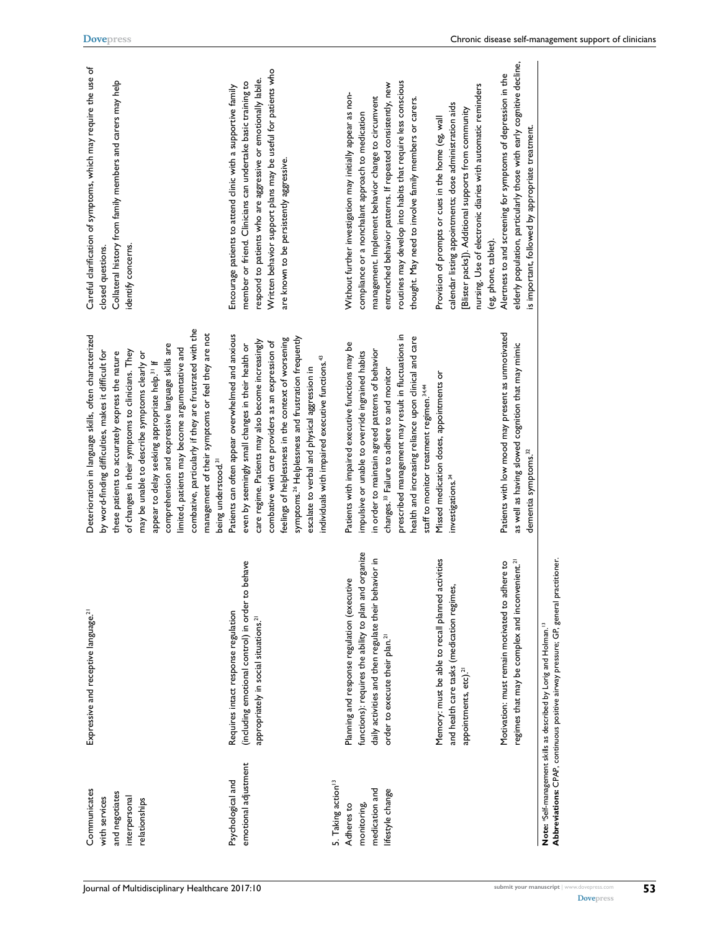| Communicates                   | Expressive and receptive language. <sup>21</sup>                                                                                                                     | Deterioration in language skills, often characterized           | Careful clarification of symptoms, which may require the use of      |
|--------------------------------|----------------------------------------------------------------------------------------------------------------------------------------------------------------------|-----------------------------------------------------------------|----------------------------------------------------------------------|
| with services                  |                                                                                                                                                                      | by word-finding difficulties, makes it difficult for            | closed questions.                                                    |
| and negotiates                 |                                                                                                                                                                      | these patients to accurately express the nature                 | Collateral history from family members and carers may help           |
| interpersonal                  |                                                                                                                                                                      | of changes in their symptoms to clinicians. They                | identify concerns.                                                   |
| relationships                  |                                                                                                                                                                      | may be unable to describe symptoms clearly or                   |                                                                      |
|                                |                                                                                                                                                                      | appear to delay seeking appropriate help. <sup>31</sup> If      |                                                                      |
|                                |                                                                                                                                                                      | comprehension and expressive language skills are                |                                                                      |
|                                |                                                                                                                                                                      | limited, patients may become argumentative and                  |                                                                      |
|                                |                                                                                                                                                                      | combative, particularly if they are frustrated with the         |                                                                      |
|                                |                                                                                                                                                                      | management of their symptoms or feel they are not               |                                                                      |
|                                |                                                                                                                                                                      | being understood. <sup>31</sup>                                 |                                                                      |
| Psychological and              | Requires intact response regulation                                                                                                                                  | Patients can often appear overwhelmed and anxious               | Encourage patients to attend clinic with a supportive family         |
| emotional adjustment           | (including emotional control) in order to behave                                                                                                                     | even by seemingly small changes in their health or              | member or friend. Clinicians can undertake basic training to         |
|                                | appropriately in social situations. <sup>21</sup>                                                                                                                    | care regime. Patients may also become increasingly              | respond to patients who are aggressive or emotionally labile.        |
|                                |                                                                                                                                                                      | combative with care providers as an expression of               | Written behavior support plans may be useful for patients who        |
|                                |                                                                                                                                                                      | feelings of helplessness in the context of worsening            | are known to be persistently aggressive.                             |
|                                |                                                                                                                                                                      | symptoms. <sup>26</sup> Helplessness and frustration frequently |                                                                      |
|                                |                                                                                                                                                                      | escalate to verbal and physical aggression in                   |                                                                      |
|                                |                                                                                                                                                                      | individuals with impaired executive functions. <sup>43</sup>    |                                                                      |
| 5. Taking action <sup>13</sup> |                                                                                                                                                                      |                                                                 |                                                                      |
| Adheres to                     | Planning and response regulation (executive                                                                                                                          | Patients with impaired executive functions may be               | Without further investigation may initially appear as non-           |
| monitoring,                    | functions): requires the ability to plan and organize                                                                                                                | impulsive or unable to override ingrained habits                | compliance or a nonchalant approach to medication                    |
| medication and                 | ior in<br>daily activities and then regulate their behav                                                                                                             | in order to maintain agreed patterns of behavior                | management. Implement behavior change to circumvent                  |
| lifestyle change               | order to execute their plan. <sup>21</sup>                                                                                                                           | changes. <sup>33</sup> Failure to adhere to and monitor         | entrenched behavior patterns. If repeated consistently, new          |
|                                |                                                                                                                                                                      | prescribed management may result in fluctuations in             | routines may develop into habits that require less conscious         |
|                                |                                                                                                                                                                      | health and increasing reliance upon clinical and care           | thought. May need to involve family members or carers.               |
|                                |                                                                                                                                                                      | staff to monitor treatment regimen. <sup>34,44</sup>            |                                                                      |
|                                | Memory: must be able to recall planned activities                                                                                                                    | Missed medication doses, appointments or                        | Provision of prompts or cues in the home (eg, wall                   |
|                                | and health care tasks (medication regimes,                                                                                                                           | investigations. <sup>34</sup>                                   | calendar listing appointments; dose administration aids              |
|                                | appointments, etc). <sup>21</sup>                                                                                                                                    |                                                                 | [Blister packs]). Additional supports from community                 |
|                                |                                                                                                                                                                      |                                                                 | nursing. Use of electronic diaries with automatic reminders          |
|                                |                                                                                                                                                                      |                                                                 | (eg, phone, tablet).                                                 |
|                                | Motivation: must remain motivated to adhere to                                                                                                                       | Patients with low mood may present as unmotivated               | Alertness to and screening for symptoms of depression in the         |
|                                | $i$ ent. <sup>21</sup><br>regimes that may be complex and inconveni                                                                                                  | as well as having slowed cognition that may mimic               | elderly population, particularly those with early cognitive decline, |
|                                |                                                                                                                                                                      | dementia symptoms. <sup>32</sup>                                | is important, followed by appropriate treatment.                     |
|                                | Abbreviations: CPAP, continuous positive airway pressure; GP, general practitioner.<br>Note: "Self-management skills as described by Lorig and Holman. <sup>13</sup> |                                                                 |                                                                      |
|                                |                                                                                                                                                                      |                                                                 |                                                                      |

**Dovepress**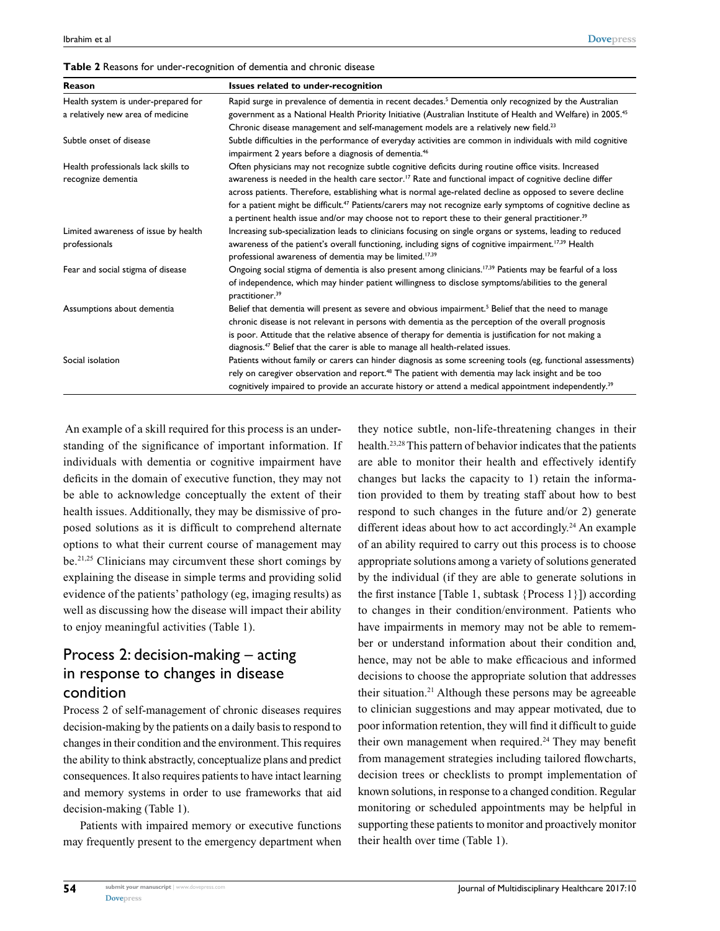#### **Table 2** Reasons for under-recognition of dementia and chronic disease

| Reason                                                                   | Issues related to under-recognition                                                                                                                                                                                                                                                                                                                                                                                                                                                                                                                                                |
|--------------------------------------------------------------------------|------------------------------------------------------------------------------------------------------------------------------------------------------------------------------------------------------------------------------------------------------------------------------------------------------------------------------------------------------------------------------------------------------------------------------------------------------------------------------------------------------------------------------------------------------------------------------------|
| Health system is under-prepared for<br>a relatively new area of medicine | Rapid surge in prevalence of dementia in recent decades. <sup>5</sup> Dementia only recognized by the Australian<br>government as a National Health Priority Initiative (Australian Institute of Health and Welfare) in 2005. <sup>45</sup><br>Chronic disease management and self-management models are a relatively new field. <sup>23</sup>                                                                                                                                                                                                                                     |
| Subtle onset of disease                                                  | Subtle difficulties in the performance of everyday activities are common in individuals with mild cognitive<br>impairment 2 years before a diagnosis of dementia. <sup>46</sup>                                                                                                                                                                                                                                                                                                                                                                                                    |
| Health professionals lack skills to<br>recognize dementia                | Often physicians may not recognize subtle cognitive deficits during routine office visits. Increased<br>awareness is needed in the health care sector. <sup>17</sup> Rate and functional impact of cognitive decline differ<br>across patients. Therefore, establishing what is normal age-related decline as opposed to severe decline<br>for a patient might be difficult. <sup>47</sup> Patients/carers may not recognize early symptoms of cognitive decline as<br>a pertinent health issue and/or may choose not to report these to their general practitioner. <sup>39</sup> |
| Limited awareness of issue by health<br>professionals                    | Increasing sub-specialization leads to clinicians focusing on single organs or systems, leading to reduced<br>awareness of the patient's overall functioning, including signs of cognitive impairment. <sup>17,39</sup> Health<br>professional awareness of dementia may be limited. <sup>17,39</sup>                                                                                                                                                                                                                                                                              |
| Fear and social stigma of disease                                        | Ongoing social stigma of dementia is also present among clinicians. <sup>17,39</sup> Patients may be fearful of a loss<br>of independence, which may hinder patient willingness to disclose symptoms/abilities to the general<br>practitioner. <sup>39</sup>                                                                                                                                                                                                                                                                                                                       |
| Assumptions about dementia                                               | Belief that dementia will present as severe and obvious impairment. <sup>5</sup> Belief that the need to manage<br>chronic disease is not relevant in persons with dementia as the perception of the overall prognosis<br>is poor. Attitude that the relative absence of therapy for dementia is justification for not making a<br>diagnosis. <sup>47</sup> Belief that the carer is able to manage all health-related issues.                                                                                                                                                     |
| Social isolation                                                         | Patients without family or carers can hinder diagnosis as some screening tools (eg, functional assessments)<br>rely on caregiver observation and report. <sup>48</sup> The patient with dementia may lack insight and be too<br>cognitively impaired to provide an accurate history or attend a medical appointment independently. <sup>39</sup>                                                                                                                                                                                                                                   |

 An example of a skill required for this process is an understanding of the significance of important information. If individuals with dementia or cognitive impairment have deficits in the domain of executive function, they may not be able to acknowledge conceptually the extent of their health issues. Additionally, they may be dismissive of proposed solutions as it is difficult to comprehend alternate options to what their current course of management may be.21,25 Clinicians may circumvent these short comings by explaining the disease in simple terms and providing solid evidence of the patients' pathology (eg, imaging results) as well as discussing how the disease will impact their ability to enjoy meaningful activities (Table 1).

## Process 2: decision-making – acting in response to changes in disease condition

Process 2 of self-management of chronic diseases requires decision-making by the patients on a daily basis to respond to changes in their condition and the environment. This requires the ability to think abstractly, conceptualize plans and predict consequences. It also requires patients to have intact learning and memory systems in order to use frameworks that aid decision-making (Table 1).

Patients with impaired memory or executive functions may frequently present to the emergency department when

they notice subtle, non-life-threatening changes in their health.23,28 This pattern of behavior indicates that the patients are able to monitor their health and effectively identify changes but lacks the capacity to 1) retain the information provided to them by treating staff about how to best respond to such changes in the future and/or 2) generate different ideas about how to act accordingly.<sup>24</sup> An example of an ability required to carry out this process is to choose appropriate solutions among a variety of solutions generated by the individual (if they are able to generate solutions in the first instance [Table 1, subtask {Process 1}]) according to changes in their condition/environment. Patients who have impairments in memory may not be able to remember or understand information about their condition and, hence, may not be able to make efficacious and informed decisions to choose the appropriate solution that addresses their situation.<sup>21</sup> Although these persons may be agreeable to clinician suggestions and may appear motivated, due to poor information retention, they will find it difficult to guide their own management when required.<sup>24</sup> They may benefit from management strategies including tailored flowcharts, decision trees or checklists to prompt implementation of known solutions, in response to a changed condition. Regular monitoring or scheduled appointments may be helpful in supporting these patients to monitor and proactively monitor their health over time (Table 1).

**54**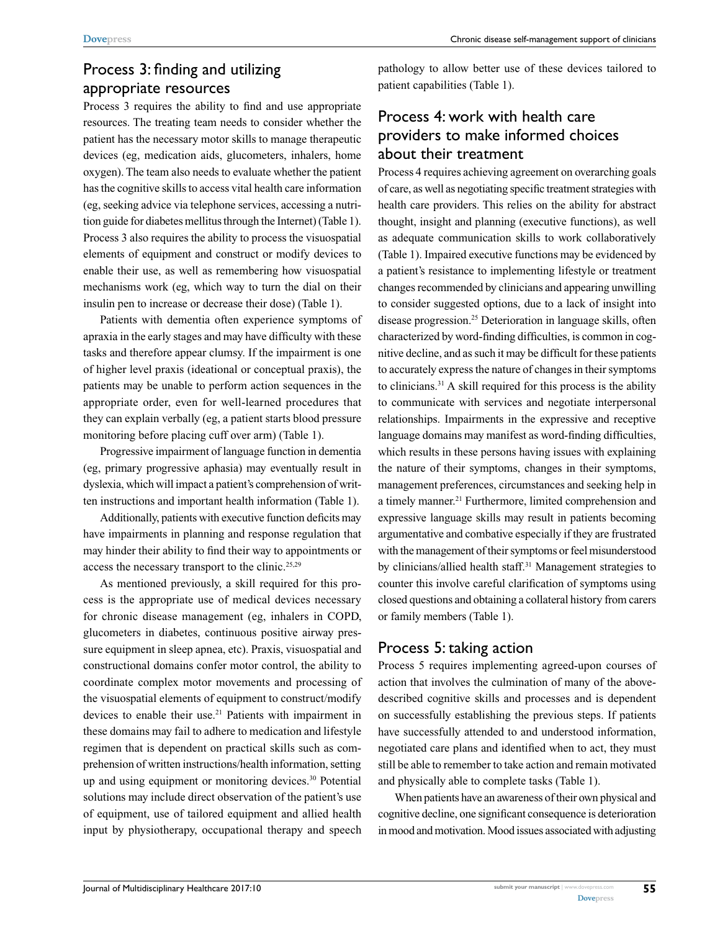# Process 3: finding and utilizing appropriate resources

Process 3 requires the ability to find and use appropriate resources. The treating team needs to consider whether the patient has the necessary motor skills to manage therapeutic devices (eg, medication aids, glucometers, inhalers, home oxygen). The team also needs to evaluate whether the patient has the cognitive skills to access vital health care information (eg, seeking advice via telephone services, accessing a nutrition guide for diabetes mellitus through the Internet) (Table 1). Process 3 also requires the ability to process the visuospatial elements of equipment and construct or modify devices to enable their use, as well as remembering how visuospatial mechanisms work (eg, which way to turn the dial on their insulin pen to increase or decrease their dose) (Table 1).

Patients with dementia often experience symptoms of apraxia in the early stages and may have difficulty with these tasks and therefore appear clumsy. If the impairment is one of higher level praxis (ideational or conceptual praxis), the patients may be unable to perform action sequences in the appropriate order, even for well-learned procedures that they can explain verbally (eg, a patient starts blood pressure monitoring before placing cuff over arm) (Table 1).

Progressive impairment of language function in dementia (eg, primary progressive aphasia) may eventually result in dyslexia, which will impact a patient's comprehension of written instructions and important health information (Table 1).

Additionally, patients with executive function deficits may have impairments in planning and response regulation that may hinder their ability to find their way to appointments or access the necessary transport to the clinic.<sup>25,29</sup>

As mentioned previously, a skill required for this process is the appropriate use of medical devices necessary for chronic disease management (eg, inhalers in COPD, glucometers in diabetes, continuous positive airway pressure equipment in sleep apnea, etc). Praxis, visuospatial and constructional domains confer motor control, the ability to coordinate complex motor movements and processing of the visuospatial elements of equipment to construct/modify devices to enable their use.<sup>21</sup> Patients with impairment in these domains may fail to adhere to medication and lifestyle regimen that is dependent on practical skills such as comprehension of written instructions/health information, setting up and using equipment or monitoring devices.<sup>30</sup> Potential solutions may include direct observation of the patient's use of equipment, use of tailored equipment and allied health input by physiotherapy, occupational therapy and speech

pathology to allow better use of these devices tailored to patient capabilities (Table 1).

# Process 4: work with health care providers to make informed choices about their treatment

Process 4 requires achieving agreement on overarching goals of care, as well as negotiating specific treatment strategies with health care providers. This relies on the ability for abstract thought, insight and planning (executive functions), as well as adequate communication skills to work collaboratively (Table 1). Impaired executive functions may be evidenced by a patient's resistance to implementing lifestyle or treatment changes recommended by clinicians and appearing unwilling to consider suggested options, due to a lack of insight into disease progression.25 Deterioration in language skills, often characterized by word-finding difficulties, is common in cognitive decline, and as such it may be difficult for these patients to accurately express the nature of changes in their symptoms to clinicians.31 A skill required for this process is the ability to communicate with services and negotiate interpersonal relationships. Impairments in the expressive and receptive language domains may manifest as word-finding difficulties, which results in these persons having issues with explaining the nature of their symptoms, changes in their symptoms, management preferences, circumstances and seeking help in a timely manner.<sup>21</sup> Furthermore, limited comprehension and expressive language skills may result in patients becoming argumentative and combative especially if they are frustrated with the management of their symptoms or feel misunderstood by clinicians/allied health staff.31 Management strategies to counter this involve careful clarification of symptoms using closed questions and obtaining a collateral history from carers or family members (Table 1).

#### Process 5: taking action

Process 5 requires implementing agreed-upon courses of action that involves the culmination of many of the abovedescribed cognitive skills and processes and is dependent on successfully establishing the previous steps. If patients have successfully attended to and understood information, negotiated care plans and identified when to act, they must still be able to remember to take action and remain motivated and physically able to complete tasks (Table 1).

When patients have an awareness of their own physical and cognitive decline, one significant consequence is deterioration in mood and motivation. Mood issues associated with adjusting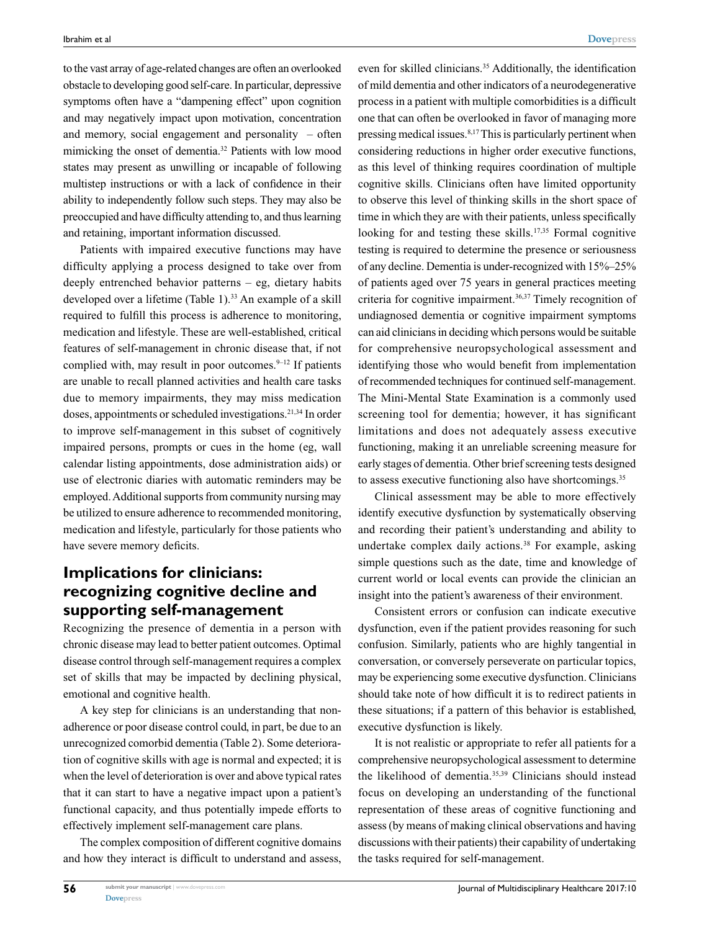to the vast array of age-related changes are often an overlooked obstacle to developing good self-care. In particular, depressive symptoms often have a "dampening effect" upon cognition and may negatively impact upon motivation, concentration and memory, social engagement and personality – often mimicking the onset of dementia.32 Patients with low mood states may present as unwilling or incapable of following multistep instructions or with a lack of confidence in their ability to independently follow such steps. They may also be preoccupied and have difficulty attending to, and thus learning and retaining, important information discussed.

Patients with impaired executive functions may have difficulty applying a process designed to take over from deeply entrenched behavior patterns – eg, dietary habits developed over a lifetime (Table 1).<sup>33</sup> An example of a skill required to fulfill this process is adherence to monitoring, medication and lifestyle. These are well-established, critical features of self-management in chronic disease that, if not complied with, may result in poor outcomes. $9-12$  If patients are unable to recall planned activities and health care tasks due to memory impairments, they may miss medication doses, appointments or scheduled investigations.<sup>21,34</sup> In order to improve self-management in this subset of cognitively impaired persons, prompts or cues in the home (eg, wall calendar listing appointments, dose administration aids) or use of electronic diaries with automatic reminders may be employed. Additional supports from community nursing may be utilized to ensure adherence to recommended monitoring, medication and lifestyle, particularly for those patients who have severe memory deficits.

## **Implications for clinicians: recognizing cognitive decline and supporting self-management**

Recognizing the presence of dementia in a person with chronic disease may lead to better patient outcomes. Optimal disease control through self-management requires a complex set of skills that may be impacted by declining physical, emotional and cognitive health.

A key step for clinicians is an understanding that nonadherence or poor disease control could, in part, be due to an unrecognized comorbid dementia (Table 2). Some deterioration of cognitive skills with age is normal and expected; it is when the level of deterioration is over and above typical rates that it can start to have a negative impact upon a patient's functional capacity, and thus potentially impede efforts to effectively implement self-management care plans.

The complex composition of different cognitive domains and how they interact is difficult to understand and assess, even for skilled clinicians.<sup>35</sup> Additionally, the identification of mild dementia and other indicators of a neurodegenerative process in a patient with multiple comorbidities is a difficult one that can often be overlooked in favor of managing more pressing medical issues.8,17 This is particularly pertinent when considering reductions in higher order executive functions, as this level of thinking requires coordination of multiple cognitive skills. Clinicians often have limited opportunity to observe this level of thinking skills in the short space of time in which they are with their patients, unless specifically looking for and testing these skills.<sup>17,35</sup> Formal cognitive testing is required to determine the presence or seriousness of any decline. Dementia is under-recognized with 15%–25% of patients aged over 75 years in general practices meeting criteria for cognitive impairment.<sup>36,37</sup> Timely recognition of undiagnosed dementia or cognitive impairment symptoms can aid clinicians in deciding which persons would be suitable for comprehensive neuropsychological assessment and identifying those who would benefit from implementation of recommended techniques for continued self-management. The Mini-Mental State Examination is a commonly used screening tool for dementia; however, it has significant limitations and does not adequately assess executive functioning, making it an unreliable screening measure for early stages of dementia. Other brief screening tests designed to assess executive functioning also have shortcomings.<sup>35</sup>

Clinical assessment may be able to more effectively identify executive dysfunction by systematically observing and recording their patient's understanding and ability to undertake complex daily actions.<sup>38</sup> For example, asking simple questions such as the date, time and knowledge of current world or local events can provide the clinician an insight into the patient's awareness of their environment.

Consistent errors or confusion can indicate executive dysfunction, even if the patient provides reasoning for such confusion. Similarly, patients who are highly tangential in conversation, or conversely perseverate on particular topics, may be experiencing some executive dysfunction. Clinicians should take note of how difficult it is to redirect patients in these situations; if a pattern of this behavior is established, executive dysfunction is likely.

It is not realistic or appropriate to refer all patients for a comprehensive neuropsychological assessment to determine the likelihood of dementia.<sup>35,39</sup> Clinicians should instead focus on developing an understanding of the functional representation of these areas of cognitive functioning and assess (by means of making clinical observations and having discussions with their patients) their capability of undertaking the tasks required for self-management.

**56**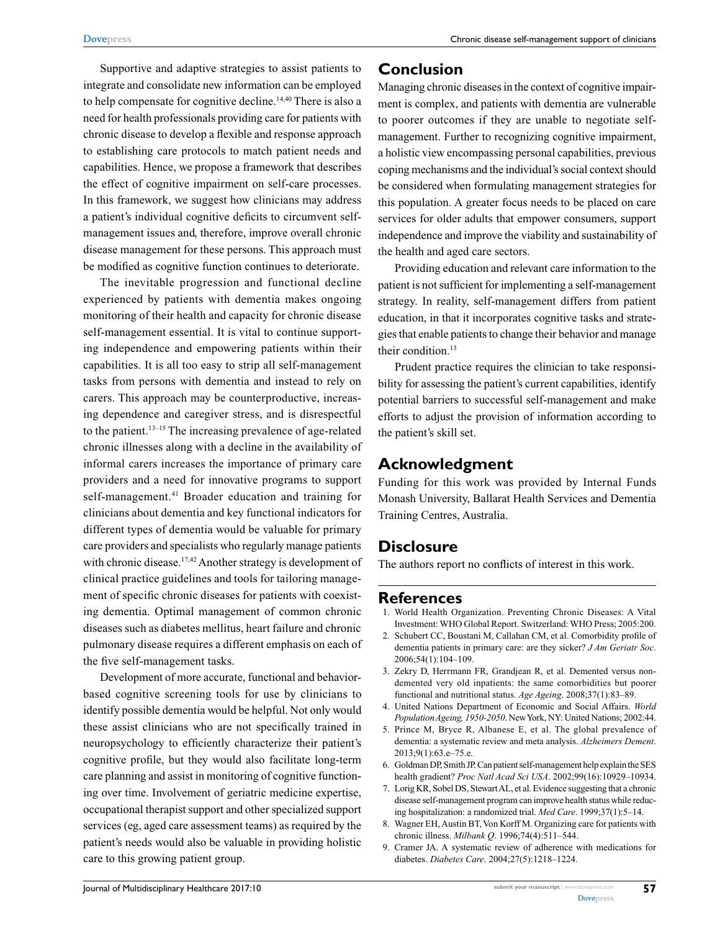Supportive and adaptive strategies to assist patients to integrate and consolidate new information can be employed to help compensate for cognitive decline.<sup>14,40</sup> There is also a need for health professionals providing care for patients with chronic disease to develop a flexible and response approach to establishing care protocols to match patient needs and capabilities. Hence, we propose a framework that describes the effect of cognitive impairment on self-care processes. In this framework, we suggest how clinicians may address a patient's individual cognitive deficits to circumvent selfmanagement issues and, therefore, improve overall chronic disease management for these persons. This approach must be modified as cognitive function continues to deteriorate.

The inevitable progression and functional decline experienced by patients with dementia makes ongoing monitoring of their health and capacity for chronic disease self-management essential. It is vital to continue supporting independence and empowering patients within their capabilities. It is all too easy to strip all self-management tasks from persons with dementia and instead to rely on carers. This approach may be counterproductive, increasing dependence and caregiver stress, and is disrespectful to the patient.13–15 The increasing prevalence of age-related chronic illnesses along with a decline in the availability of informal carers increases the importance of primary care providers and a need for innovative programs to support self-management.<sup>41</sup> Broader education and training for clinicians about dementia and key functional indicators for different types of dementia would be valuable for primary care providers and specialists who regularly manage patients with chronic disease.<sup>17,42</sup> Another strategy is development of clinical practice guidelines and tools for tailoring management of specific chronic diseases for patients with coexisting dementia. Optimal management of common chronic diseases such as diabetes mellitus, heart failure and chronic pulmonary disease requires a different emphasis on each of the five self-management tasks.

Development of more accurate, functional and behaviorbased cognitive screening tools for use by clinicians to identify possible dementia would be helpful. Not only would these assist clinicians who are not specifically trained in neuropsychology to efficiently characterize their patient's cognitive profile, but they would also facilitate long-term care planning and assist in monitoring of cognitive functioning over time. Involvement of geriatric medicine expertise, occupational therapist support and other specialized support services (eg, aged care assessment teams) as required by the patient's needs would also be valuable in providing holistic care to this growing patient group.

#### **Conclusion**

Managing chronic diseases in the context of cognitive impairment is complex, and patients with dementia are vulnerable to poorer outcomes if they are unable to negotiate selfmanagement. Further to recognizing cognitive impairment, a holistic view encompassing personal capabilities, previous coping mechanisms and the individual's social context should be considered when formulating management strategies for this population. A greater focus needs to be placed on care services for older adults that empower consumers, support independence and improve the viability and sustainability of the health and aged care sectors.

Providing education and relevant care information to the patient is not sufficient for implementing a self-management strategy. In reality, self-management differs from patient education, in that it incorporates cognitive tasks and strategies that enable patients to change their behavior and manage their condition.<sup>13</sup>

Prudent practice requires the clinician to take responsibility for assessing the patient's current capabilities, identify potential barriers to successful self-management and make efforts to adjust the provision of information according to the patient's skill set.

# **Acknowledgment**

Funding for this work was provided by Internal Funds Monash University, Ballarat Health Services and Dementia Training Centres, Australia.

#### **Disclosure**

The authors report no conflicts of interest in this work.

#### **References**

- 1. World Health Organization. Preventing Chronic Diseases: A Vital Investment: WHO Global Report. Switzerland: WHO Press; 2005:200.
- 2. Schubert CC, Boustani M, Callahan CM, et al. Comorbidity profile of dementia patients in primary care: are they sicker? *J Am Geriatr Soc*. 2006;54(1):104–109.
- 3. Zekry D, Herrmann FR, Grandjean R, et al. Demented versus nondemented very old inpatients: the same comorbidities but poorer functional and nutritional status. *Age Ageing*. 2008;37(1):83–89.
- 4. United Nations Department of Economic and Social Affairs. *World Population Ageing, 1950-2050*. New York, NY: United Nations; 2002:44.
- 5. Prince M, Bryce R, Albanese E, et al. The global prevalence of dementia: a systematic review and meta analysis. *Alzheimers Dement*. 2013;9(1):63.e–75.e.
- 6. Goldman DP, Smith JP. Can patient self-management help explain the SES health gradient? *Proc Natl Acad Sci USA*. 2002;99(16):10929–10934.
- 7. Lorig KR, Sobel DS, Stewart AL, et al. Evidence suggesting that a chronic disease self-management program can improve health status while reducing hospitalization: a randomized trial. *Med Care*. 1999;37(1):5–14.
- 8. Wagner EH, Austin BT, Von Korff M. Organizing care for patients with chronic illness. *Milbank Q*. 1996;74(4):511–544.
- 9. Cramer JA. A systematic review of adherence with medications for diabetes. *Diabetes Care*. 2004;27(5):1218–1224.